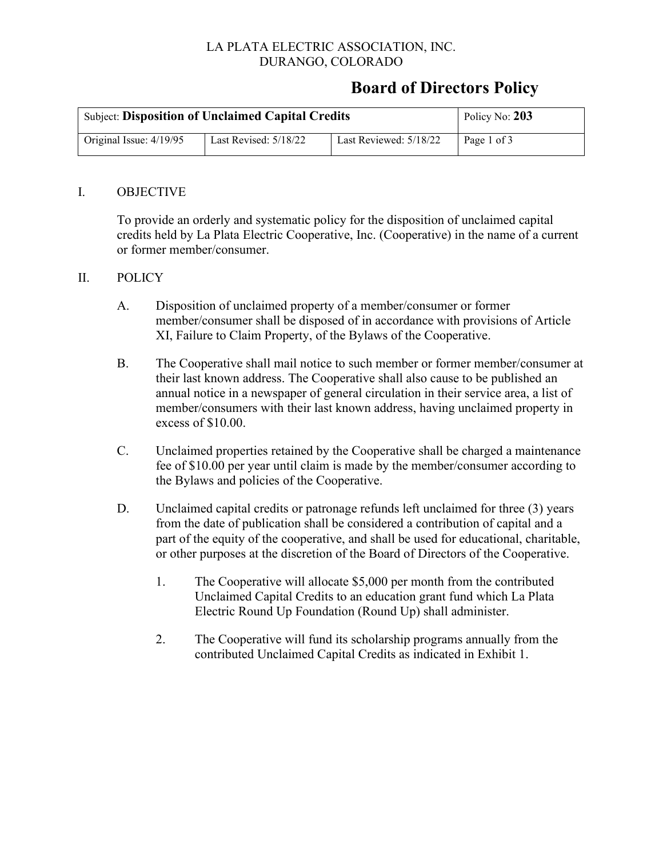### LA PLATA ELECTRIC ASSOCIATION, INC. DURANGO, COLORADO

## **Board of Directors Policy**

| <b>Subject: Disposition of Unclaimed Capital Credits</b> | Policy No: 203        |                        |             |
|----------------------------------------------------------|-----------------------|------------------------|-------------|
| Original Issue: $4/19/95$                                | Last Revised: 5/18/22 | Last Reviewed: 5/18/22 | Page 1 of 3 |

#### I. OBJECTIVE

To provide an orderly and systematic policy for the disposition of unclaimed capital credits held by La Plata Electric Cooperative, Inc. (Cooperative) in the name of a current or former member/consumer.

#### II. POLICY

- A. Disposition of unclaimed property of a member/consumer or former member/consumer shall be disposed of in accordance with provisions of Article XI, Failure to Claim Property, of the Bylaws of the Cooperative.
- B. The Cooperative shall mail notice to such member or former member/consumer at their last known address. The Cooperative shall also cause to be published an annual notice in a newspaper of general circulation in their service area, a list of member/consumers with their last known address, having unclaimed property in excess of \$10.00.
- C. Unclaimed properties retained by the Cooperative shall be charged a maintenance fee of \$10.00 per year until claim is made by the member/consumer according to the Bylaws and policies of the Cooperative.
- D. Unclaimed capital credits or patronage refunds left unclaimed for three (3) years from the date of publication shall be considered a contribution of capital and a part of the equity of the cooperative, and shall be used for educational, charitable, or other purposes at the discretion of the Board of Directors of the Cooperative.
	- 1. The Cooperative will allocate \$5,000 per month from the contributed Unclaimed Capital Credits to an education grant fund which La Plata Electric Round Up Foundation (Round Up) shall administer.
	- 2. The Cooperative will fund its scholarship programs annually from the contributed Unclaimed Capital Credits as indicated in Exhibit 1.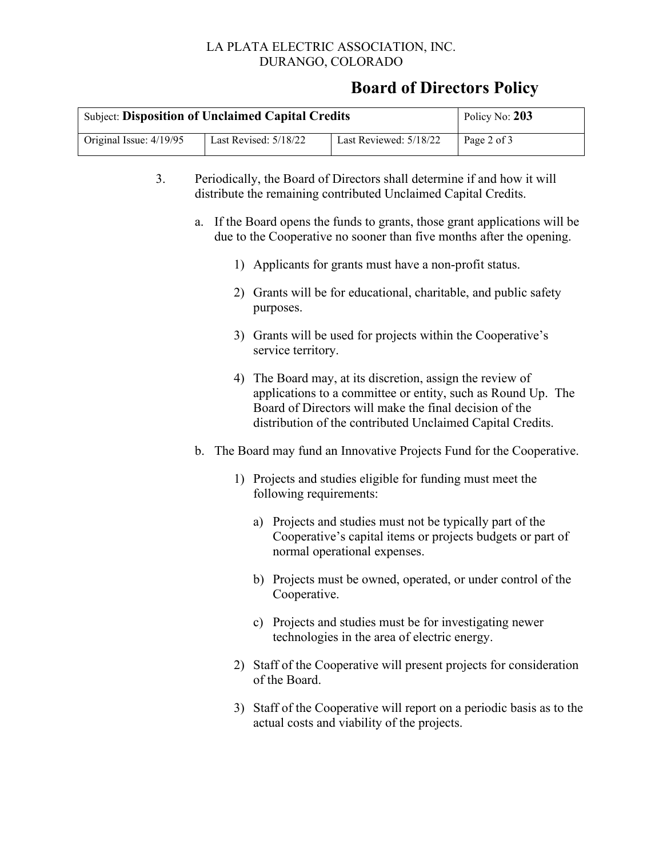### LA PLATA ELECTRIC ASSOCIATION, INC. DURANGO, COLORADO

## **Board of Directors Policy**

| <b>Subject: Disposition of Unclaimed Capital Credits</b> | Policy No: 203        |                        |             |
|----------------------------------------------------------|-----------------------|------------------------|-------------|
| Original Issue: 4/19/95                                  | Last Revised: 5/18/22 | Last Reviewed: 5/18/22 | Page 2 of 3 |

- 3. Periodically, the Board of Directors shall determine if and how it will distribute the remaining contributed Unclaimed Capital Credits.
	- a. If the Board opens the funds to grants, those grant applications will be due to the Cooperative no sooner than five months after the opening.
		- 1) Applicants for grants must have a non-profit status.
		- 2) Grants will be for educational, charitable, and public safety purposes.
		- 3) Grants will be used for projects within the Cooperative's service territory.
		- 4) The Board may, at its discretion, assign the review of applications to a committee or entity, such as Round Up. The Board of Directors will make the final decision of the distribution of the contributed Unclaimed Capital Credits.
	- b. The Board may fund an Innovative Projects Fund for the Cooperative.
		- 1) Projects and studies eligible for funding must meet the following requirements:
			- a) Projects and studies must not be typically part of the Cooperative's capital items or projects budgets or part of normal operational expenses.
			- b) Projects must be owned, operated, or under control of the Cooperative.
			- c) Projects and studies must be for investigating newer technologies in the area of electric energy.
		- 2) Staff of the Cooperative will present projects for consideration of the Board.
		- 3) Staff of the Cooperative will report on a periodic basis as to the actual costs and viability of the projects.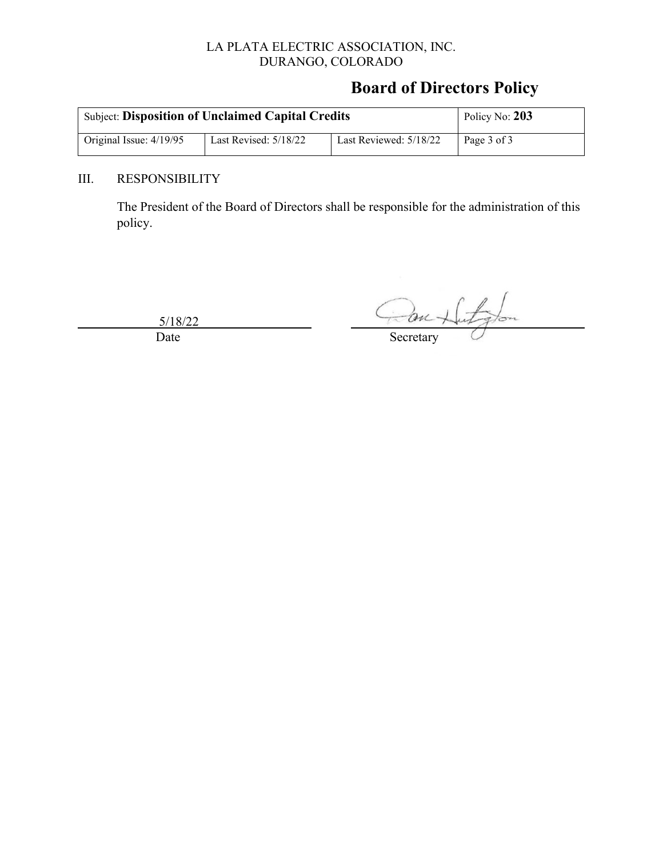### LA PLATA ELECTRIC ASSOCIATION, INC. DURANGO, COLORADO

# **Board of Directors Policy**

| <b>Subject: Disposition of Unclaimed Capital Credits</b> | Policy No: 203        |                          |             |
|----------------------------------------------------------|-----------------------|--------------------------|-------------|
| Original Issue: $4/19/95$                                | Last Revised: 5/18/22 | Last Reviewed: $5/18/22$ | Page 3 of 3 |

### III. RESPONSIBILITY

The President of the Board of Directors shall be responsible for the administration of this policy.

5/18/22

itaton ton + Date Secretary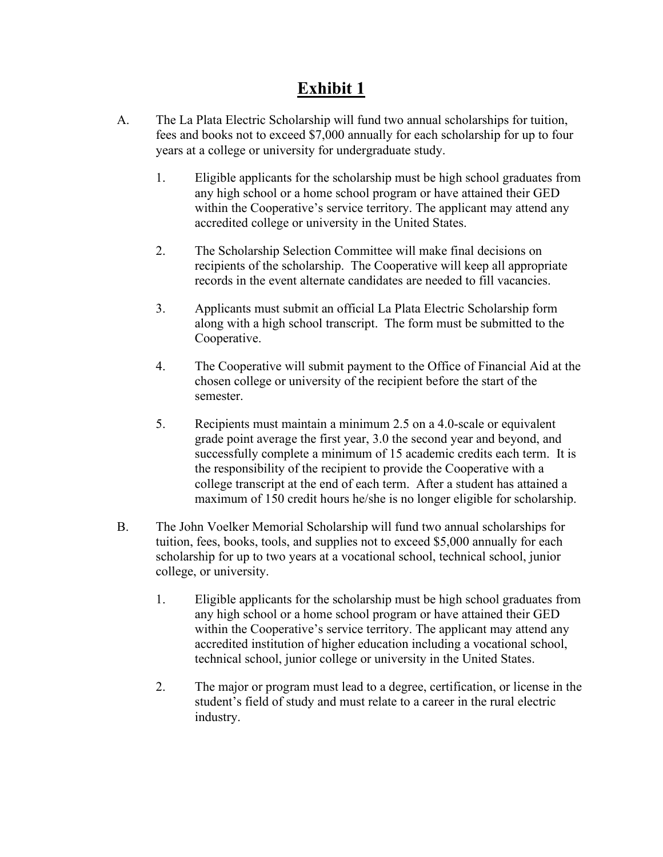# **Exhibit 1**

- A. The La Plata Electric Scholarship will fund two annual scholarships for tuition, fees and books not to exceed \$7,000 annually for each scholarship for up to four years at a college or university for undergraduate study.
	- 1. Eligible applicants for the scholarship must be high school graduates from any high school or a home school program or have attained their GED within the Cooperative's service territory. The applicant may attend any accredited college or university in the United States.
	- 2. The Scholarship Selection Committee will make final decisions on recipients of the scholarship. The Cooperative will keep all appropriate records in the event alternate candidates are needed to fill vacancies.
	- 3. Applicants must submit an official La Plata Electric Scholarship form along with a high school transcript. The form must be submitted to the Cooperative.
	- 4. The Cooperative will submit payment to the Office of Financial Aid at the chosen college or university of the recipient before the start of the semester.
	- 5. Recipients must maintain a minimum 2.5 on a 4.0-scale or equivalent grade point average the first year, 3.0 the second year and beyond, and successfully complete a minimum of 15 academic credits each term. It is the responsibility of the recipient to provide the Cooperative with a college transcript at the end of each term. After a student has attained a maximum of 150 credit hours he/she is no longer eligible for scholarship.
- B. The John Voelker Memorial Scholarship will fund two annual scholarships for tuition, fees, books, tools, and supplies not to exceed \$5,000 annually for each scholarship for up to two years at a vocational school, technical school, junior college, or university.
	- 1. Eligible applicants for the scholarship must be high school graduates from any high school or a home school program or have attained their GED within the Cooperative's service territory. The applicant may attend any accredited institution of higher education including a vocational school, technical school, junior college or university in the United States.
	- 2. The major or program must lead to a degree, certification, or license in the student's field of study and must relate to a career in the rural electric industry.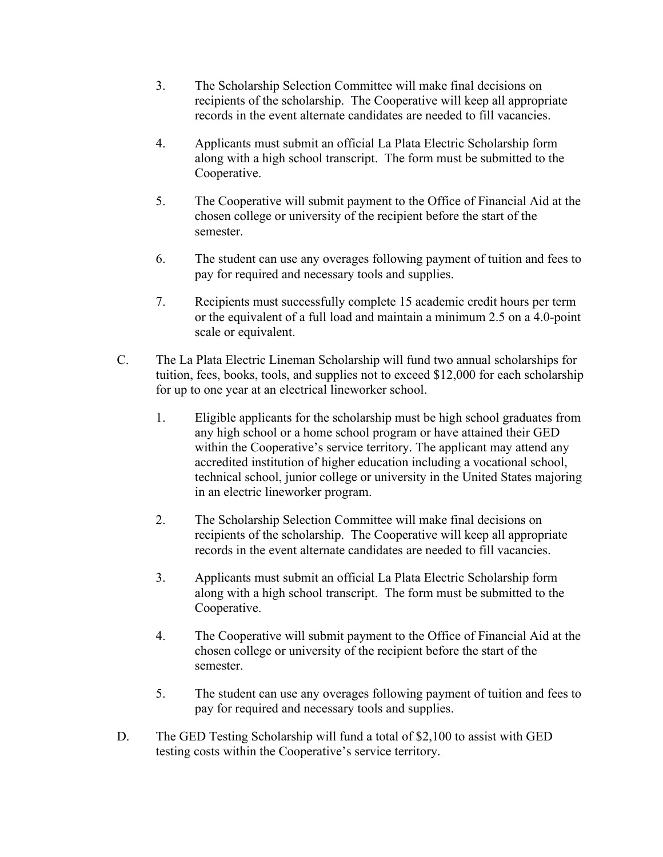- 3. The Scholarship Selection Committee will make final decisions on recipients of the scholarship. The Cooperative will keep all appropriate records in the event alternate candidates are needed to fill vacancies.
- 4. Applicants must submit an official La Plata Electric Scholarship form along with a high school transcript. The form must be submitted to the Cooperative.
- 5. The Cooperative will submit payment to the Office of Financial Aid at the chosen college or university of the recipient before the start of the semester.
- 6. The student can use any overages following payment of tuition and fees to pay for required and necessary tools and supplies.
- 7. Recipients must successfully complete 15 academic credit hours per term or the equivalent of a full load and maintain a minimum 2.5 on a 4.0-point scale or equivalent.
- C. The La Plata Electric Lineman Scholarship will fund two annual scholarships for tuition, fees, books, tools, and supplies not to exceed \$12,000 for each scholarship for up to one year at an electrical lineworker school.
	- 1. Eligible applicants for the scholarship must be high school graduates from any high school or a home school program or have attained their GED within the Cooperative's service territory. The applicant may attend any accredited institution of higher education including a vocational school, technical school, junior college or university in the United States majoring in an electric lineworker program.
	- 2. The Scholarship Selection Committee will make final decisions on recipients of the scholarship. The Cooperative will keep all appropriate records in the event alternate candidates are needed to fill vacancies.
	- 3. Applicants must submit an official La Plata Electric Scholarship form along with a high school transcript. The form must be submitted to the Cooperative.
	- 4. The Cooperative will submit payment to the Office of Financial Aid at the chosen college or university of the recipient before the start of the semester.
	- 5. The student can use any overages following payment of tuition and fees to pay for required and necessary tools and supplies.
- D. The GED Testing Scholarship will fund a total of \$2,100 to assist with GED testing costs within the Cooperative's service territory.